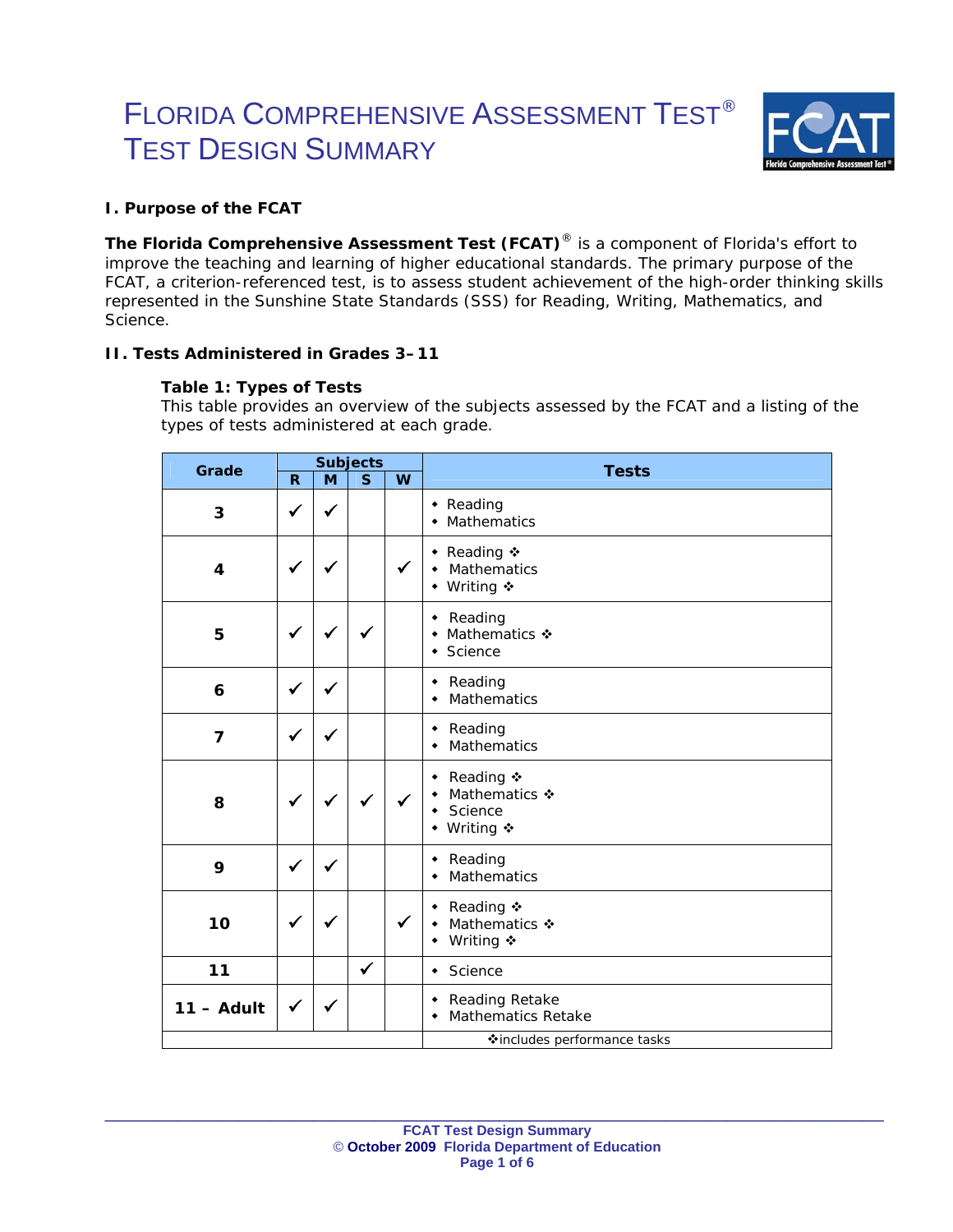# FLORIDA COMPREHENSIVE ASSESSMENT TEST® TEST DESIGN SUMMARY



## **I. Purpose of the FCAT**

**The Florida Comprehensive Assessment Test (FCAT)**® is a component of Florida's effort to improve the teaching and learning of higher educational standards. The primary purpose of the FCAT, a criterion-referenced test, is to assess student achievement of the high-order thinking skills represented in the *Sunshine State Standards* (SSS) for Reading, Writing, Mathematics, and Science.

## **II. Tests Administered in Grades 3–11**

## **Table 1: Types of Tests**

*This table provides an overview of the subjects assessed by the FCAT and a listing of the types of tests administered at each grade.* 

| Grade          | <b>Subjects</b> |              |              |              | <b>Tests</b>                                                        |  |
|----------------|-----------------|--------------|--------------|--------------|---------------------------------------------------------------------|--|
|                | R.              | M            | S            | W            |                                                                     |  |
| 3              | ✔               | ✔            |              |              | • Reading<br>Mathematics<br>۰                                       |  |
| 4              | $\checkmark$    | $\checkmark$ |              | $\checkmark$ | ◆ Reading ◆<br><b>Mathematics</b><br>$\bullet$<br>◆ Writing ※       |  |
| 5              | $\checkmark$    | $\checkmark$ |              |              | • Reading<br>Mathematics ❖<br>٠<br>Science<br>٠                     |  |
| 6              | $\checkmark$    | $\checkmark$ |              |              | • Reading<br>Mathematics<br>۰                                       |  |
| $\overline{7}$ | $\checkmark$    | $\checkmark$ |              |              | • Reading<br>Mathematics<br>۰                                       |  |
| 8              | $\checkmark$    |              |              | ✓            | ◆ Reading ◆<br>Mathematics �<br>٠<br>Science<br>٠<br>Writing ❖<br>٠ |  |
| 9              | $\checkmark$    | ✓            |              |              | Reading<br>٠<br><b>Mathematics</b><br>٠                             |  |
| 10             | ✓               | $\checkmark$ |              | $\checkmark$ | Reading ❖<br>٠<br>Mathematics �<br>٠<br>Writing ❖<br>٠              |  |
| 11             |                 |              | $\checkmark$ |              | $\bullet$ Science                                                   |  |
| $11 -$ Adult   | $\checkmark$    | ✔            |              |              | • Reading Retake<br><b>Mathematics Retake</b><br>$\blacklozenge$    |  |
|                |                 |              |              |              | <b>Vincludes performance tasks</b>                                  |  |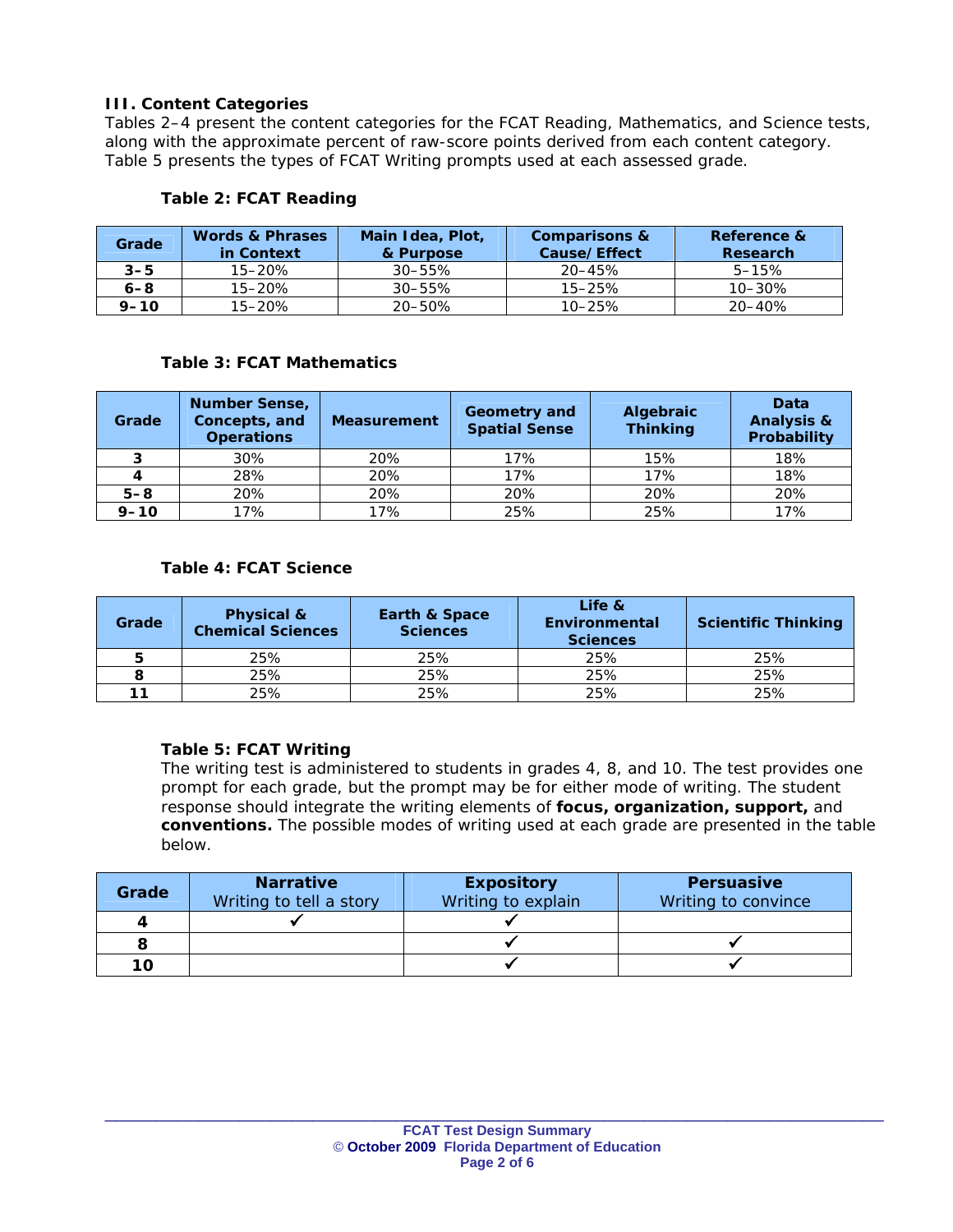## **III. Content Categories**

Tables 2–4 present the content categories for the FCAT Reading, Mathematics, and Science tests, along with the approximate percent of raw-score points derived from each content category. Table 5 presents the types of FCAT Writing prompts used at each assessed grade.

| Table 2: FCAT Reading |  |
|-----------------------|--|
|-----------------------|--|

| Grade    | <b>Words &amp; Phrases</b><br>in Context | Main Idea, Plot,<br>& Purpose | <b>Comparisons &amp;</b><br>Cause/Effect | Reference &<br>Research |
|----------|------------------------------------------|-------------------------------|------------------------------------------|-------------------------|
| $3 - 5$  | 15–20%                                   | $30 - 55\%$                   | 20–45%                                   | $5 - 15%$               |
| $6 - 8$  | $15 - 20%$                               | $30 - 55\%$                   | $15 - 25%$                               | $10 - 30%$              |
| $9 - 10$ | 15-20%                                   | 20-50%                        | $10 - 25%$                               | 20–40%                  |

### **Table 3: FCAT Mathematics**

| Grade    | <b>Number Sense,</b><br>Concepts, and<br><b>Operations</b> | <b>Measurement</b> | Geometry and<br><b>Spatial Sense</b> | Algebraic<br><b>Thinking</b> | Data<br><b>Analysis &amp;</b><br>Probability |
|----------|------------------------------------------------------------|--------------------|--------------------------------------|------------------------------|----------------------------------------------|
|          | 30%                                                        | 20%                | 17%                                  | 15%                          | 18%                                          |
|          | 28%                                                        | 20%                | 17%                                  | 17%                          | 18%                                          |
| $5 - 8$  | 20%                                                        | 20%                | 20%                                  | 20%                          | 20%                                          |
| $9 - 10$ | 17%                                                        | 17%                | 25%                                  | 25%                          | 17%                                          |

## **Table 4: FCAT Science**

| Grade | Physical &<br><b>Chemical Sciences</b> | <b>Earth &amp; Space</b><br><b>Sciences</b> | Life &<br>Environmental<br><b>Sciences</b> | <b>Scientific Thinking</b> |
|-------|----------------------------------------|---------------------------------------------|--------------------------------------------|----------------------------|
|       | 25%                                    | 25%                                         | 25%                                        | 25%                        |
|       | 25%                                    | 25%                                         | 25%                                        | 25%                        |
|       | 25%                                    | 25%                                         | 25%                                        | 25%                        |

#### **Table 5: FCAT Writing**

*The writing test is administered to students in grades 4, 8, and 10. The test provides one prompt for each grade, but the prompt may be for either mode of writing. The student response should integrate the writing elements of focus, organization, support, and conventions. The possible modes of writing used at each grade are presented in the table below.* 

| Grade | <b>Narrative</b><br>Writing to tell a story | <b>Expository</b><br>Writing to explain | <b>Persuasive</b><br>Writing to convince |
|-------|---------------------------------------------|-----------------------------------------|------------------------------------------|
| 4     |                                             |                                         |                                          |
|       |                                             |                                         |                                          |
| 10    |                                             |                                         |                                          |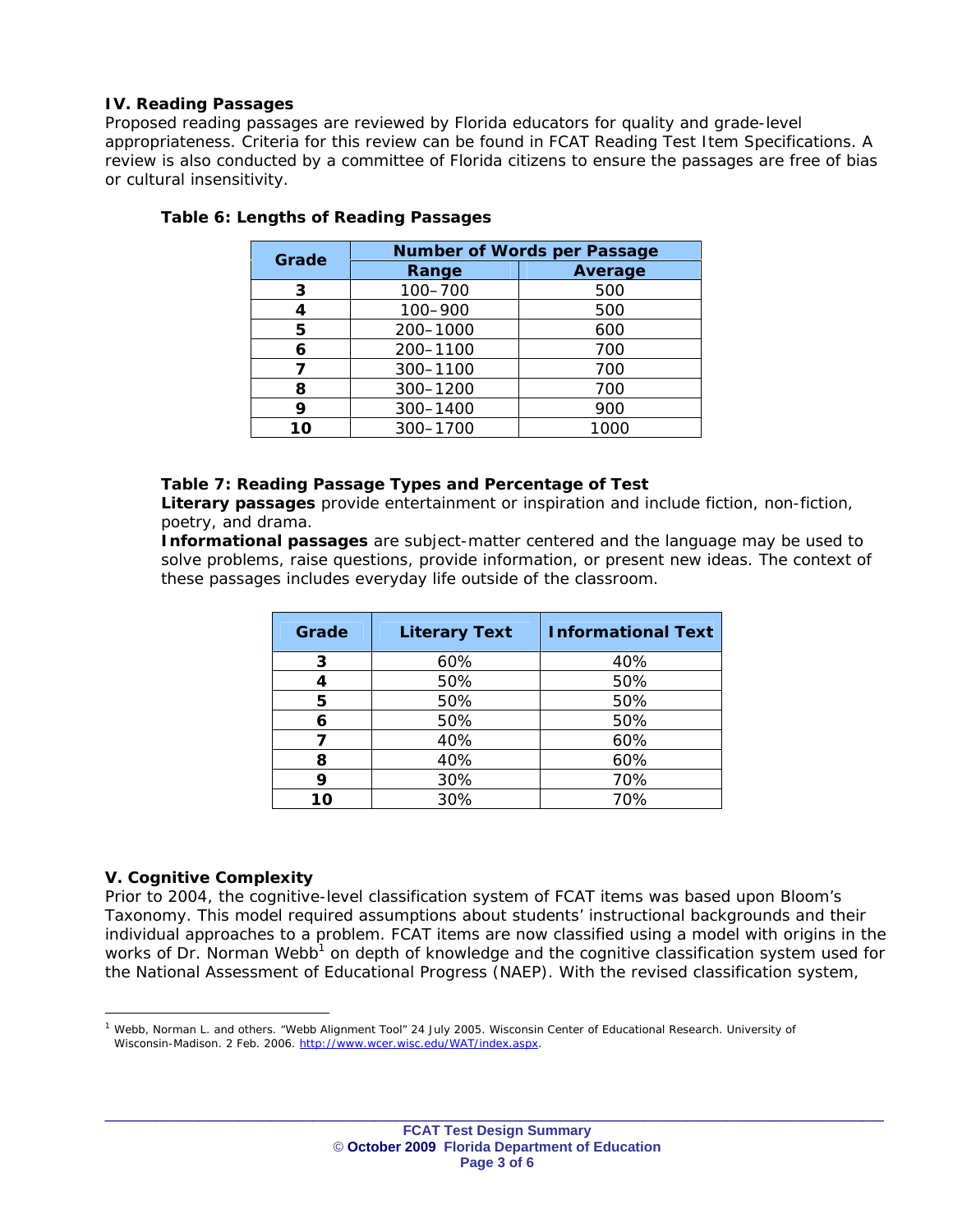## **IV. Reading Passages**

Proposed reading passages are reviewed by Florida educators for quality and grade-level appropriateness. Criteria for this review can be found in *FCAT Reading Test Item Specifications.* A review is also conducted by a committee of Florida citizens to ensure the passages are free of bias or cultural insensitivity.

| Grade         | <b>Number of Words per Passage</b> |         |  |  |
|---------------|------------------------------------|---------|--|--|
|               | Range                              | Average |  |  |
| 3             | 100-700                            | 500     |  |  |
|               | 100-900                            | 500     |  |  |
| 5             | 200-1000                           | 600     |  |  |
| 6             | 200-1100                           | 700     |  |  |
| 7             | 300-1100                           | 700     |  |  |
| 8             | 300-1200                           | 700     |  |  |
| 300-1400<br>9 |                                    | 900     |  |  |
| 10            | 300-1700                           | 1000    |  |  |

## **Table 6: Lengths of Reading Passages**

#### **Table 7: Reading Passage Types and Percentage of Test**

*Literary passages provide entertainment or inspiration and include fiction, non-fiction, poetry, and drama.* 

*Informational passages are subject-matter centered and the language may be used to*  solve problems, raise questions, provide information, or present new ideas. The context of *these passages includes everyday life outside of the classroom.*

| Grade | <b>Literary Text</b> | <b>Informational Text</b> |
|-------|----------------------|---------------------------|
| 3     | 60%                  | 40%                       |
| 4     | 50%                  | 50%                       |
| 5     | 50%                  | 50%                       |
| 6     | 50%                  | 50%                       |
|       | 40%                  | 60%                       |
| 8     | 40%                  | 60%                       |
| 9     | 30%                  | 70%                       |
| 10    | 30%                  | 70%                       |

### **V. Cognitive Complexity**

Prior to 2004, the cognitive-level classification system of FCAT items was based upon Bloom's Taxonomy. This model required assumptions about students' instructional backgrounds and their individual approaches to a problem. FCAT items are now classified using a model with origins in the works of Dr. Norman Webb<sup>1</sup> on depth of knowledge and the cognitive classification system used for the National Assessment of Educational Progress (NAEP). With the revised classification system,

 $1$  Webb, Norman L. and others. "Webb Alignment Tool" 24 July 2005. Wisconsin Center of Educational Research. University of Wisconsin-Madison. 2 Feb. 2006. http://www.wcer.wisc.edu/WAT/index.aspx.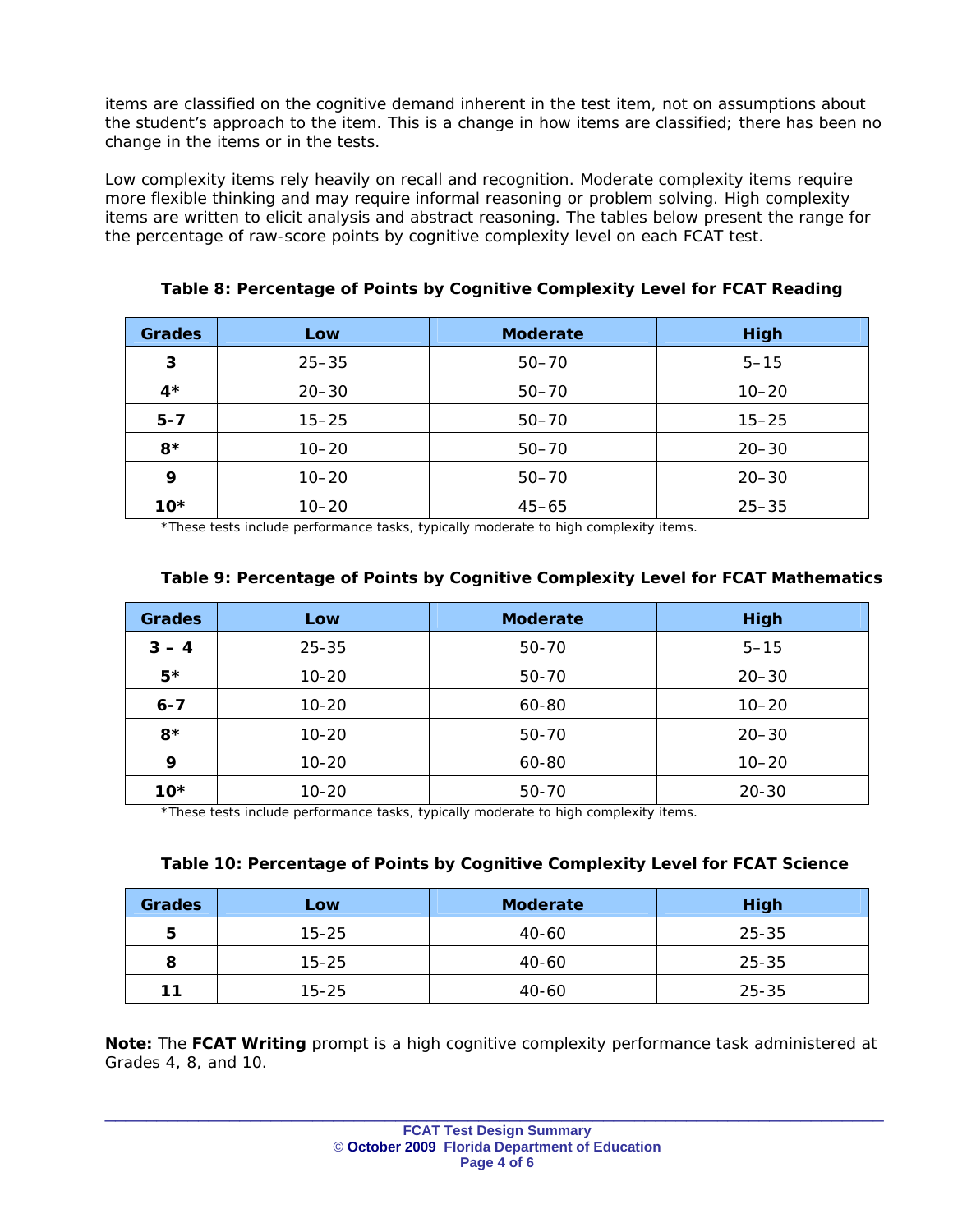items are classified on the cognitive demand inherent in the test item, not on assumptions about the student's approach to the item. This is a change in how items are classified; there has been no change in the items or in the tests.

Low complexity items rely heavily on recall and recognition. Moderate complexity items require more flexible thinking and may require informal reasoning or problem solving. High complexity items are written to elicit analysis and abstract reasoning. The tables below present the range for the percentage of raw-score points by cognitive complexity level on each FCAT test.

| <b>Grades</b> | Low       | <b>Moderate</b> | <b>High</b> |
|---------------|-----------|-----------------|-------------|
| 3             | $25 - 35$ | $50 - 70$       | $5 - 15$    |
| $4*$          | $20 - 30$ | $50 - 70$       | $10 - 20$   |
| $5 - 7$       | $15 - 25$ | $50 - 70$       | $15 - 25$   |
| $8*$          | $10 - 20$ | $50 - 70$       | $20 - 30$   |
| 9             | $10 - 20$ | $50 - 70$       | $20 - 30$   |
| $10*$         | $10 - 20$ | $45 - 65$       | $25 - 35$   |

**Table 8: Percentage of Points by Cognitive Complexity Level for FCAT Reading** 

\*These tests include performance tasks, typically moderate to high complexity items.

| <b>Grades</b> | Low       | <b>Moderate</b> | <b>High</b> |
|---------------|-----------|-----------------|-------------|
| $3 - 4$       | $25 - 35$ | 50-70           | $5 - 15$    |
| $5*$          | $10 - 20$ | 50-70           | $20 - 30$   |
| $6 - 7$       | $10 - 20$ | 60-80           | $10 - 20$   |
| $8*$          | $10 - 20$ | 50-70           | $20 - 30$   |
| 9             | $10 - 20$ | 60-80           | $10 - 20$   |
| $10*$         | $10 - 20$ | 50-70           | $20 - 30$   |

## **Table 9: Percentage of Points by Cognitive Complexity Level for FCAT Mathematics**

\*These tests include performance tasks, typically moderate to high complexity items.

## **Table 10: Percentage of Points by Cognitive Complexity Level for FCAT Science**

| <b>Grades</b> | Low       | <b>Moderate</b> | <b>High</b> |
|---------------|-----------|-----------------|-------------|
| 5             | $15 - 25$ | 40-60           | 25-35       |
| 8             | $15 - 25$ | 40-60           | 25-35       |
| 11            | $15 - 25$ | $40 - 60$       | 25-35       |

**Note:** The **FCAT Writing** prompt is a high cognitive complexity performance task administered at Grades 4, 8, and 10.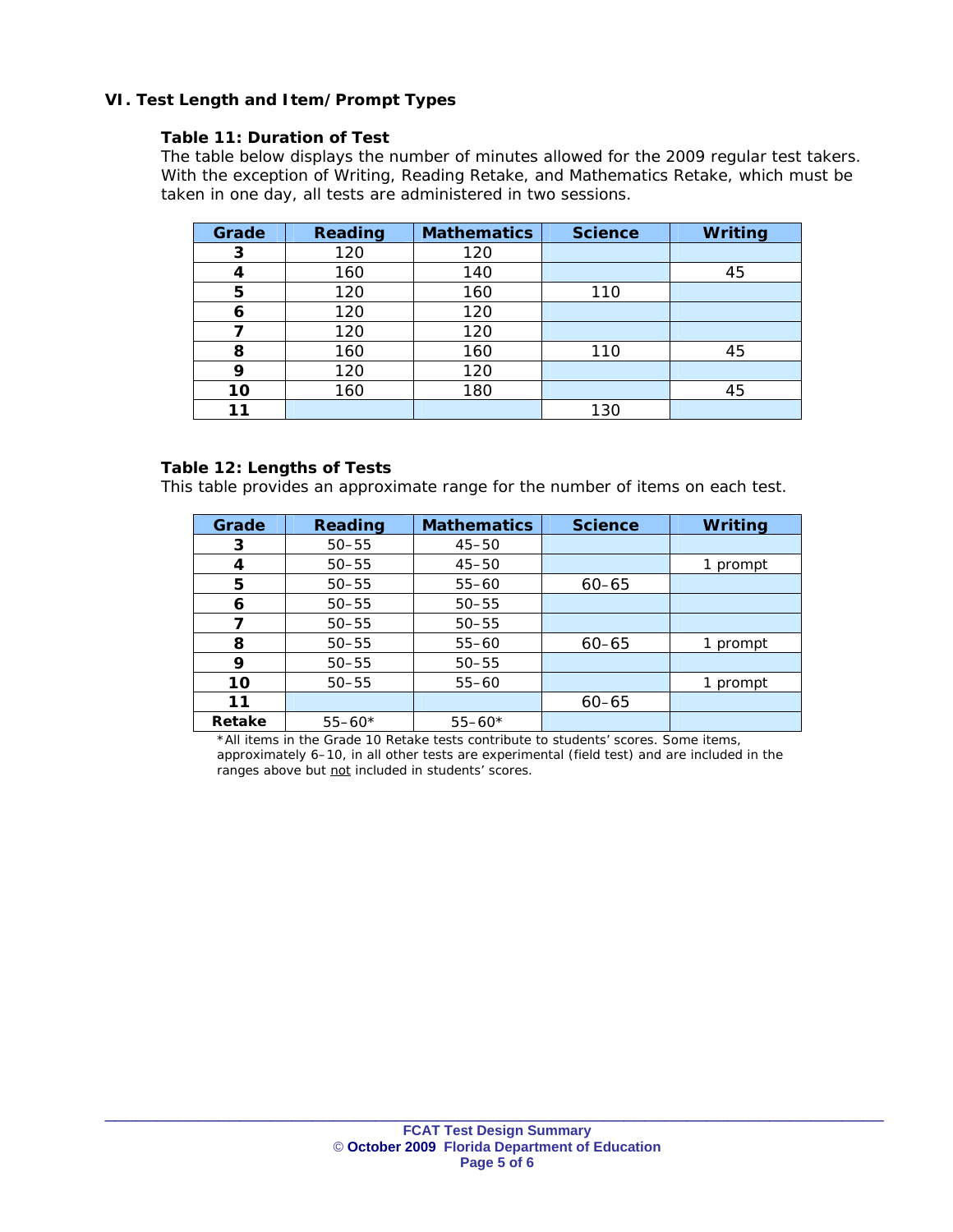## **VI. Test Length and Item/Prompt Types**

### **Table 11: Duration of Test**

*The table below displays the number of minutes allowed for the 2009 regular test takers. With the exception of Writing, Reading Retake, and Mathematics Retake, which must be taken in one day, all tests are administered in two sessions.* 

| Grade | <b>Reading</b> | <b>Mathematics</b> | <b>Science</b> | <b>Writing</b> |
|-------|----------------|--------------------|----------------|----------------|
| 3     | 120            | 120                |                |                |
| 4     | 160            | 140                |                | 45             |
| 5     | 120            | 160                | 110            |                |
| 6     | 120            | 120                |                |                |
|       | 120            | 120                |                |                |
| 8     | 160            | 160                | 110            | 45             |
| 9     | 120            | 120                |                |                |
| 10    | 160            | 180                |                | 45             |
| 11    |                |                    | 130            |                |

#### **Table 12: Lengths of Tests**

*This table provides an approximate range for the number of items on each test.* 

| Grade  | Reading    | <b>Mathematics</b> | <b>Science</b> | <b>Writing</b> |
|--------|------------|--------------------|----------------|----------------|
| 3      | $50 - 55$  | $45 - 50$          |                |                |
| 4      | $50 - 55$  | $45 - 50$          |                | 1 prompt       |
| 5      | $50 - 55$  | $55 - 60$          | $60 - 65$      |                |
| 6      | $50 - 55$  | $50 - 55$          |                |                |
|        | $50 - 55$  | $50 - 55$          |                |                |
| 8      | $50 - 55$  | $55 - 60$          | $60 - 65$      | 1 prompt       |
| 9      | $50 - 55$  | $50 - 55$          |                |                |
| 10     | $50 - 55$  | $55 - 60$          |                | prompt<br>1.   |
| 11     |            |                    | $60 - 65$      |                |
| Retake | $55 - 60*$ | $55 - 60*$         |                |                |

\*All items in the Grade 10 Retake tests contribute to students' scores. Some items, approximately 6–10, in all other tests are experimental (field test) and are included in the ranges above but not included in students' scores.